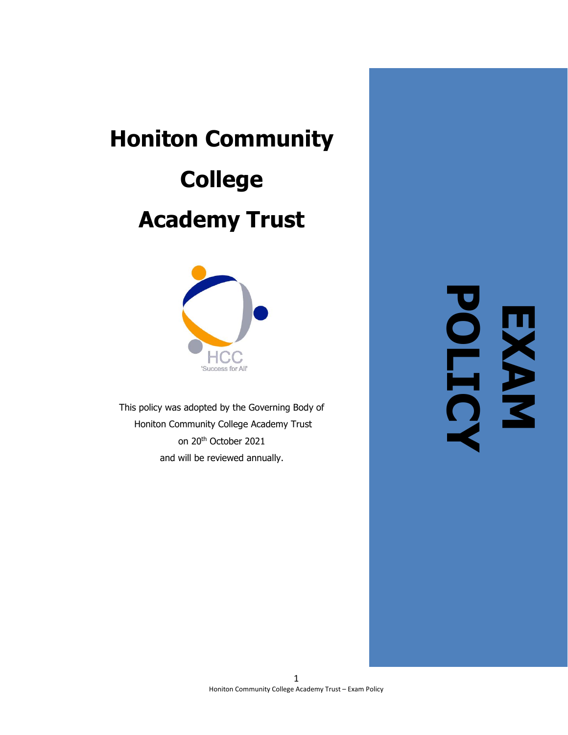# **Honiton Community College Academy Trust**



This policy was adopted by the Governing Body of Honiton Community College Academy Trust on 20 th October 2021 and will be reviewed annually.

**EXAM POLICY**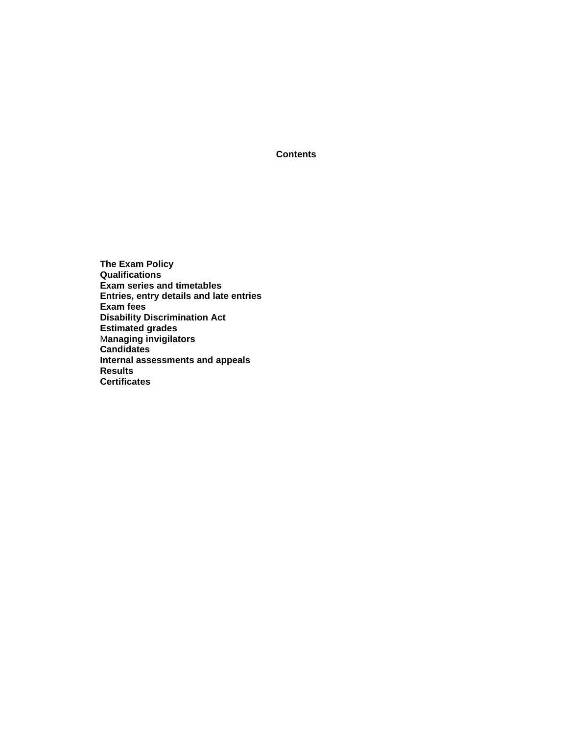**Contents**

**The Exam Policy Qualifications Exam series and timetables Entries, entry details and late entries Exam fees Disability Discrimination Act Estimated grades** M**anaging invigilators Candidates Internal assessments and appeals Results Certificates**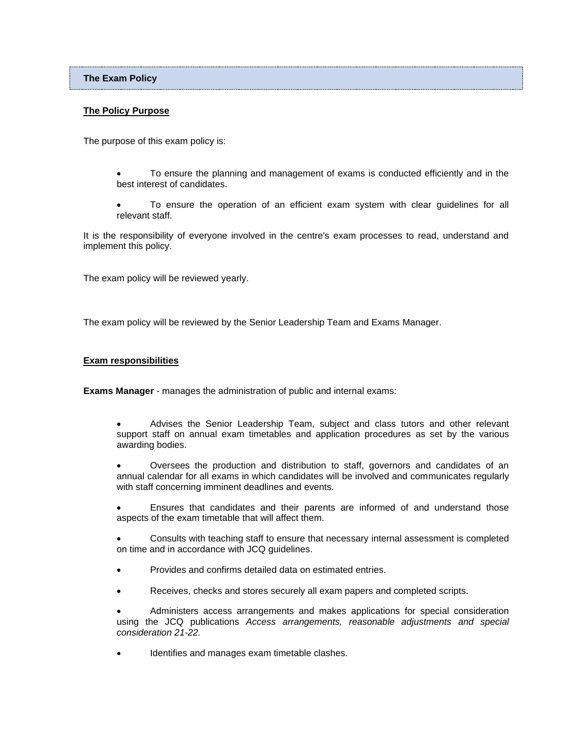**The Exam Policy**

# **The Policy Purpose**

The purpose of this exam policy is:

- To ensure the planning and management of exams is conducted efficiently and in the best interest of candidates.
- To ensure the operation of an efficient exam system with clear guidelines for all relevant staff.

It is the responsibility of everyone involved in the centre's exam processes to read, understand and implement this policy.

The exam policy will be reviewed yearly.

The exam policy will be reviewed by the Senior Leadership Team and Exams Manager.

## **Exam responsibilities**

**Exams Manager** - manages the administration of public and internal exams:

- Advises the Senior Leadership Team, subject and class tutors and other relevant support staff on annual exam timetables and application procedures as set by the various awarding bodies.
- Oversees the production and distribution to staff, governors and candidates of an annual calendar for all exams in which candidates will be involved and communicates regularly with staff concerning imminent deadlines and events.
- Ensures that candidates and their parents are informed of and understand those aspects of the exam timetable that will affect them.
- Consults with teaching staff to ensure that necessary internal assessment is completed on time and in accordance with JCQ guidelines.
- Provides and confirms detailed data on estimated entries.
- Receives, checks and stores securely all exam papers and completed scripts.
- Administers access arrangements and makes applications for special consideration using the JCQ publications *Access arrangements, reasonable adjustments and special consideration 21-22.*
- Identifies and manages exam timetable clashes.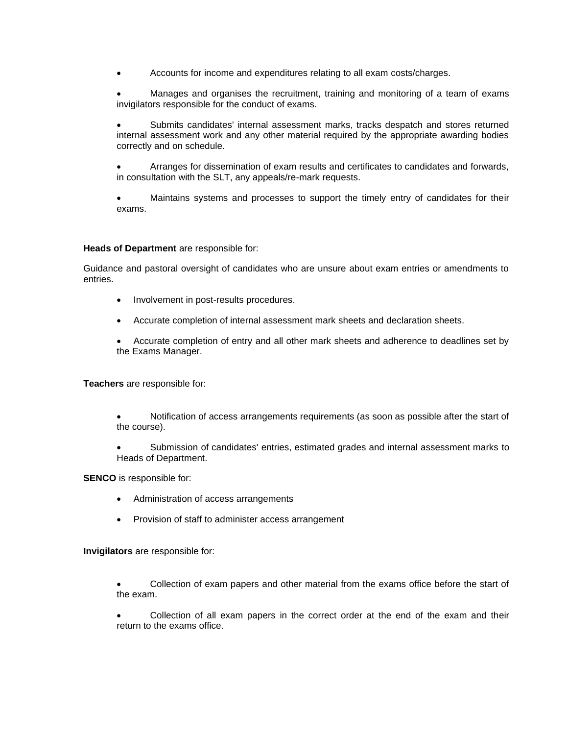• Accounts for income and expenditures relating to all exam costs/charges.

• Manages and organises the recruitment, training and monitoring of a team of exams invigilators responsible for the conduct of exams.

• Submits candidates' internal assessment marks, tracks despatch and stores returned internal assessment work and any other material required by the appropriate awarding bodies correctly and on schedule.

• Arranges for dissemination of exam results and certificates to candidates and forwards, in consultation with the SLT, any appeals/re-mark requests.

• Maintains systems and processes to support the timely entry of candidates for their exams.

## **Heads of Department** are responsible for:

Guidance and pastoral oversight of candidates who are unsure about exam entries or amendments to entries.

- Involvement in post-results procedures.
- Accurate completion of internal assessment mark sheets and declaration sheets.
- Accurate completion of entry and all other mark sheets and adherence to deadlines set by the Exams Manager.

**Teachers** are responsible for:

- Notification of access arrangements requirements (as soon as possible after the start of the course).
- Submission of candidates' entries, estimated grades and internal assessment marks to Heads of Department.

**SENCO** is responsible for:

- Administration of access arrangements
- Provision of staff to administer access arrangement

**Invigilators** are responsible for:

• Collection of exam papers and other material from the exams office before the start of the exam.

• Collection of all exam papers in the correct order at the end of the exam and their return to the exams office.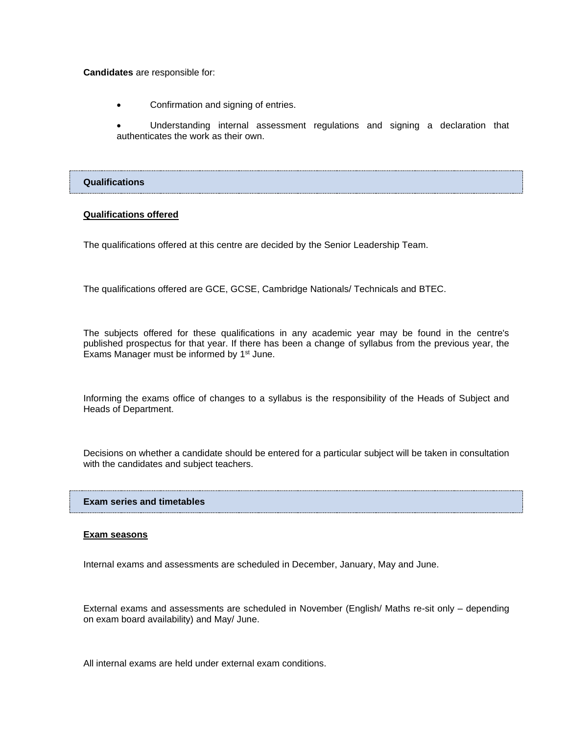**Candidates** are responsible for:

• Confirmation and signing of entries.

• Understanding internal assessment regulations and signing a declaration that authenticates the work as their own.

## **Qualifications**

## **Qualifications offered**

The qualifications offered at this centre are decided by the Senior Leadership Team.

The qualifications offered are GCE, GCSE, Cambridge Nationals/ Technicals and BTEC.

The subjects offered for these qualifications in any academic year may be found in the centre's published prospectus for that year. If there has been a change of syllabus from the previous year, the Exams Manager must be informed by 1<sup>st</sup> June.

Informing the exams office of changes to a syllabus is the responsibility of the Heads of Subject and Heads of Department.

Decisions on whether a candidate should be entered for a particular subject will be taken in consultation with the candidates and subject teachers.

#### **Exam series and timetables**

#### **Exam seasons**

Internal exams and assessments are scheduled in December, January, May and June.

External exams and assessments are scheduled in November (English/ Maths re-sit only – depending on exam board availability) and May/ June.

All internal exams are held under external exam conditions.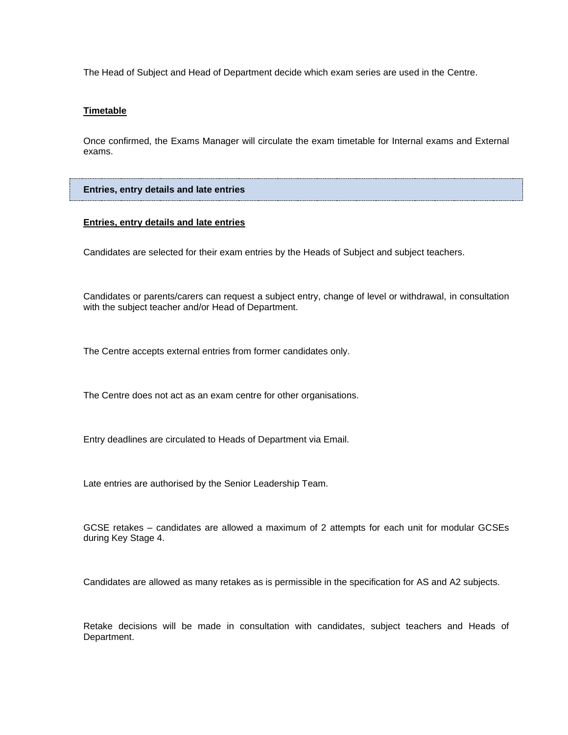The Head of Subject and Head of Department decide which exam series are used in the Centre.

## **Timetable**

Once confirmed, the Exams Manager will circulate the exam timetable for Internal exams and External exams.

**Entries, entry details and late entries**

# **Entries, entry details and late entries**

Candidates are selected for their exam entries by the Heads of Subject and subject teachers.

Candidates or parents/carers can request a subject entry, change of level or withdrawal, in consultation with the subject teacher and/or Head of Department.

The Centre accepts external entries from former candidates only.

The Centre does not act as an exam centre for other organisations.

Entry deadlines are circulated to Heads of Department via Email.

Late entries are authorised by the Senior Leadership Team.

GCSE retakes – candidates are allowed a maximum of 2 attempts for each unit for modular GCSEs during Key Stage 4.

Candidates are allowed as many retakes as is permissible in the specification for AS and A2 subjects.

Retake decisions will be made in consultation with candidates, subject teachers and Heads of Department.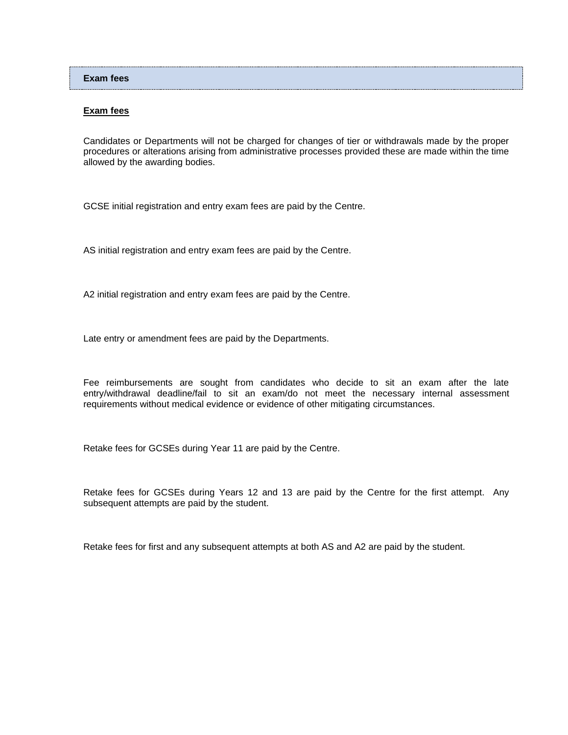## **Exam fees**

# **Exam fees**

Candidates or Departments will not be charged for changes of tier or withdrawals made by the proper procedures or alterations arising from administrative processes provided these are made within the time allowed by the awarding bodies.

GCSE initial registration and entry exam fees are paid by the Centre.

AS initial registration and entry exam fees are paid by the Centre.

A2 initial registration and entry exam fees are paid by the Centre.

Late entry or amendment fees are paid by the Departments.

Fee reimbursements are sought from candidates who decide to sit an exam after the late entry/withdrawal deadline/fail to sit an exam/do not meet the necessary internal assessment requirements without medical evidence or evidence of other mitigating circumstances.

Retake fees for GCSEs during Year 11 are paid by the Centre.

Retake fees for GCSEs during Years 12 and 13 are paid by the Centre for the first attempt. Any subsequent attempts are paid by the student.

Retake fees for first and any subsequent attempts at both AS and A2 are paid by the student.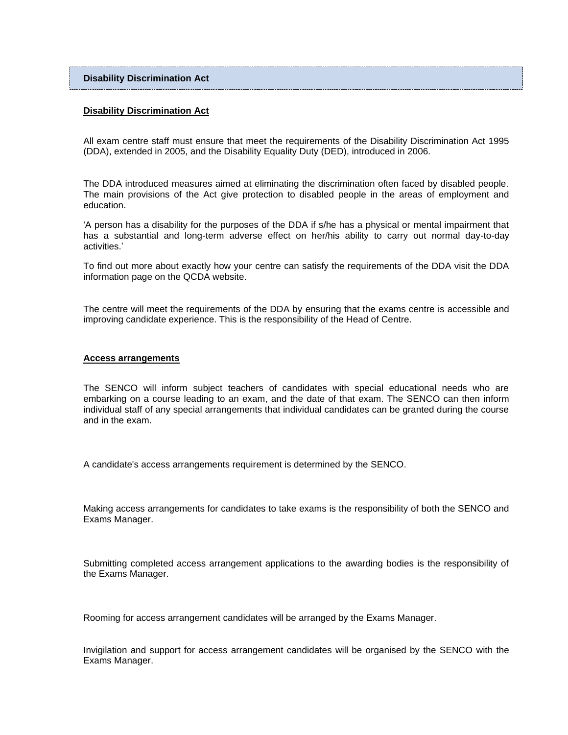## **Disability Discrimination Act**

#### **Disability Discrimination Act**

All exam centre staff must ensure that meet the requirements of the Disability Discrimination Act 1995 (DDA), extended in 2005, and the Disability Equality Duty (DED), introduced in 2006.

The DDA introduced measures aimed at eliminating the discrimination often faced by disabled people. The main provisions of the Act give protection to disabled people in the areas of employment and education.

'A person has a disability for the purposes of the DDA if s/he has a physical or mental impairment that has a substantial and long-term adverse effect on her/his ability to carry out normal day-to-day activities.'

To find out more about exactly how your centre can satisfy the requirements of the DDA visit the DDA information page on the QCDA website.

The centre will meet the requirements of the DDA by ensuring that the exams centre is accessible and improving candidate experience. This is the responsibility of the Head of Centre.

#### **Access arrangements**

The SENCO will inform subject teachers of candidates with special educational needs who are embarking on a course leading to an exam, and the date of that exam. The SENCO can then inform individual staff of any special arrangements that individual candidates can be granted during the course and in the exam.

A candidate's access arrangements requirement is determined by the SENCO.

Making access arrangements for candidates to take exams is the responsibility of both the SENCO and Exams Manager.

Submitting completed access arrangement applications to the awarding bodies is the responsibility of the Exams Manager.

Rooming for access arrangement candidates will be arranged by the Exams Manager.

Invigilation and support for access arrangement candidates will be organised by the SENCO with the Exams Manager.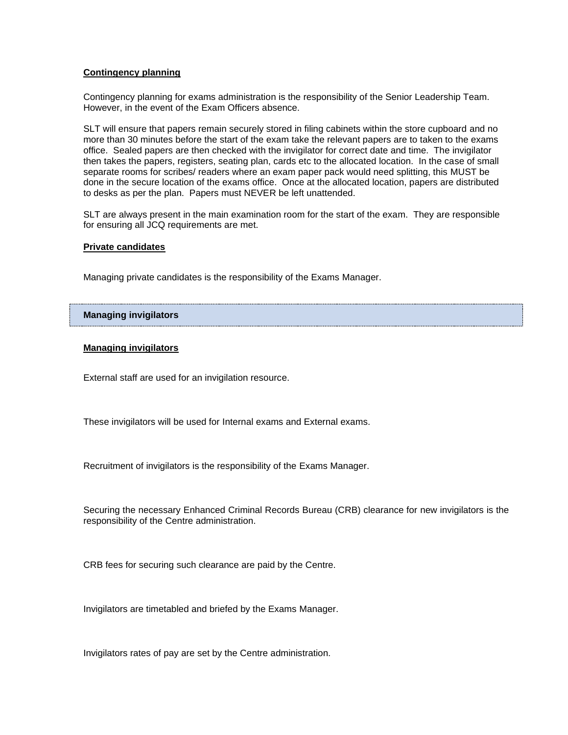## **Contingency planning**

Contingency planning for exams administration is the responsibility of the Senior Leadership Team. However, in the event of the Exam Officers absence.

SLT will ensure that papers remain securely stored in filing cabinets within the store cupboard and no more than 30 minutes before the start of the exam take the relevant papers are to taken to the exams office. Sealed papers are then checked with the invigilator for correct date and time. The invigilator then takes the papers, registers, seating plan, cards etc to the allocated location. In the case of small separate rooms for scribes/ readers where an exam paper pack would need splitting, this MUST be done in the secure location of the exams office. Once at the allocated location, papers are distributed to desks as per the plan. Papers must NEVER be left unattended.

SLT are always present in the main examination room for the start of the exam. They are responsible for ensuring all JCQ requirements are met.

#### **Private candidates**

Managing private candidates is the responsibility of the Exams Manager.

## **Managing invigilators**

## **Managing invigilators**

External staff are used for an invigilation resource.

These invigilators will be used for Internal exams and External exams.

Recruitment of invigilators is the responsibility of the Exams Manager.

Securing the necessary Enhanced Criminal Records Bureau (CRB) clearance for new invigilators is the responsibility of the Centre administration.

CRB fees for securing such clearance are paid by the Centre.

Invigilators are timetabled and briefed by the Exams Manager.

Invigilators rates of pay are set by the Centre administration.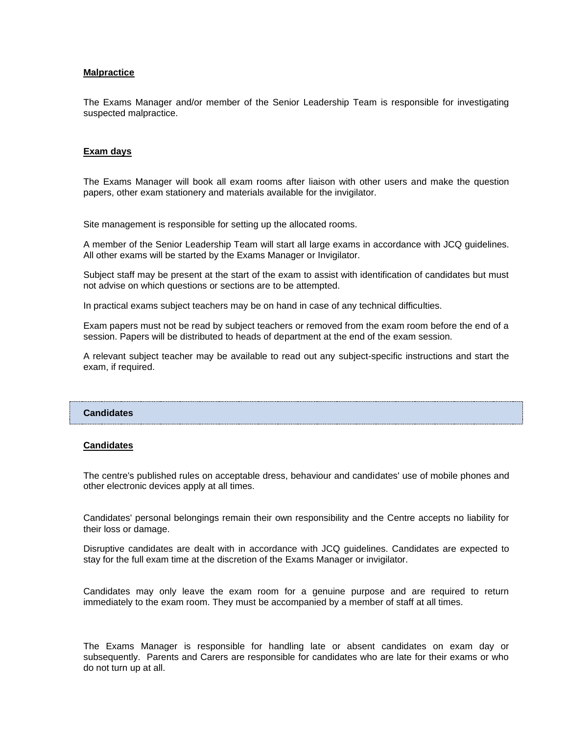#### **Malpractice**

The Exams Manager and/or member of the Senior Leadership Team is responsible for investigating suspected malpractice.

## **Exam days**

The Exams Manager will book all exam rooms after liaison with other users and make the question papers, other exam stationery and materials available for the invigilator.

Site management is responsible for setting up the allocated rooms.

A member of the Senior Leadership Team will start all large exams in accordance with JCQ guidelines. All other exams will be started by the Exams Manager or Invigilator.

Subject staff may be present at the start of the exam to assist with identification of candidates but must not advise on which questions or sections are to be attempted.

In practical exams subject teachers may be on hand in case of any technical difficulties.

Exam papers must not be read by subject teachers or removed from the exam room before the end of a session. Papers will be distributed to heads of department at the end of the exam session.

A relevant subject teacher may be available to read out any subject-specific instructions and start the exam, if required.

#### **Candidates**

#### **Candidates**

The centre's published rules on acceptable dress, behaviour and candidates' use of mobile phones and other electronic devices apply at all times.

Candidates' personal belongings remain their own responsibility and the Centre accepts no liability for their loss or damage.

Disruptive candidates are dealt with in accordance with JCQ guidelines. Candidates are expected to stay for the full exam time at the discretion of the Exams Manager or invigilator.

Candidates may only leave the exam room for a genuine purpose and are required to return immediately to the exam room. They must be accompanied by a member of staff at all times.

The Exams Manager is responsible for handling late or absent candidates on exam day or subsequently. Parents and Carers are responsible for candidates who are late for their exams or who do not turn up at all.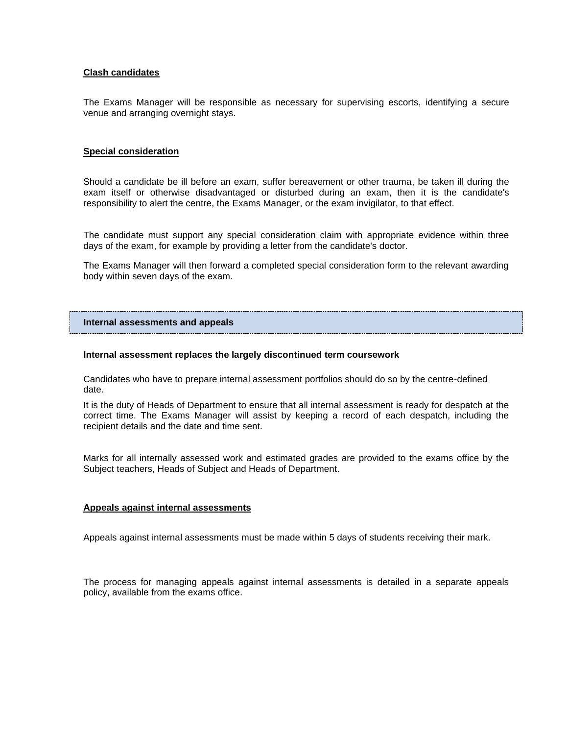## **Clash candidates**

The Exams Manager will be responsible as necessary for supervising escorts, identifying a secure venue and arranging overnight stays.

## **Special consideration**

Should a candidate be ill before an exam, suffer bereavement or other trauma, be taken ill during the exam itself or otherwise disadvantaged or disturbed during an exam, then it is the candidate's responsibility to alert the centre, the Exams Manager, or the exam invigilator, to that effect.

The candidate must support any special consideration claim with appropriate evidence within three days of the exam, for example by providing a letter from the candidate's doctor.

The Exams Manager will then forward a completed special consideration form to the relevant awarding body within seven days of the exam.

#### **Internal assessments and appeals**

#### **Internal assessment replaces the largely discontinued term coursework**

Candidates who have to prepare internal assessment portfolios should do so by the centre-defined date.

It is the duty of Heads of Department to ensure that all internal assessment is ready for despatch at the correct time. The Exams Manager will assist by keeping a record of each despatch, including the recipient details and the date and time sent.

Marks for all internally assessed work and estimated grades are provided to the exams office by the Subject teachers, Heads of Subject and Heads of Department.

#### **Appeals against internal assessments**

Appeals against internal assessments must be made within 5 days of students receiving their mark.

The process for managing appeals against internal assessments is detailed in a separate appeals policy, available from the exams office.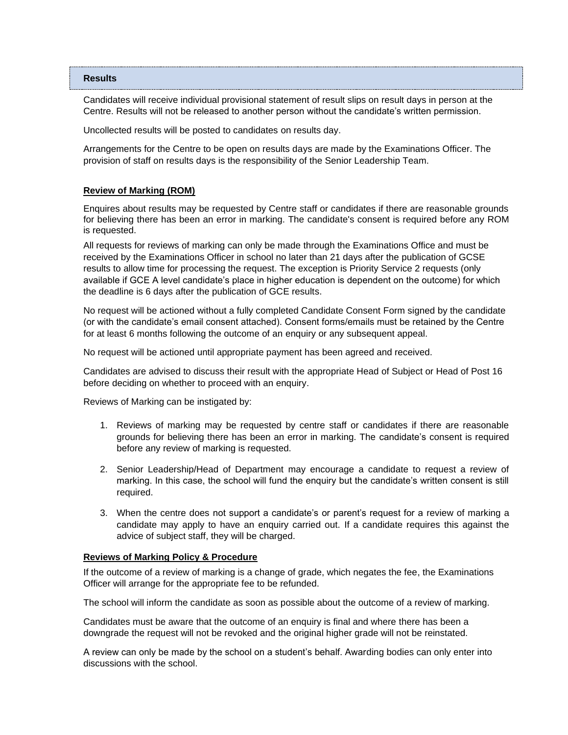#### **Results**

Candidates will receive individual provisional statement of result slips on result days in person at the Centre. Results will not be released to another person without the candidate's written permission.

Uncollected results will be posted to candidates on results day.

Arrangements for the Centre to be open on results days are made by the Examinations Officer. The provision of staff on results days is the responsibility of the Senior Leadership Team.

## **Review of Marking (ROM)**

Enquires about results may be requested by Centre staff or candidates if there are reasonable grounds for believing there has been an error in marking. The candidate's consent is required before any ROM is requested.

All requests for reviews of marking can only be made through the Examinations Office and must be received by the Examinations Officer in school no later than 21 days after the publication of GCSE results to allow time for processing the request. The exception is Priority Service 2 requests (only available if GCE A level candidate's place in higher education is dependent on the outcome) for which the deadline is 6 days after the publication of GCE results.

No request will be actioned without a fully completed Candidate Consent Form signed by the candidate (or with the candidate's email consent attached). Consent forms/emails must be retained by the Centre for at least 6 months following the outcome of an enquiry or any subsequent appeal.

No request will be actioned until appropriate payment has been agreed and received.

Candidates are advised to discuss their result with the appropriate Head of Subject or Head of Post 16 before deciding on whether to proceed with an enquiry.

Reviews of Marking can be instigated by:

- 1. Reviews of marking may be requested by centre staff or candidates if there are reasonable grounds for believing there has been an error in marking. The candidate's consent is required before any review of marking is requested.
- 2. Senior Leadership/Head of Department may encourage a candidate to request a review of marking. In this case, the school will fund the enquiry but the candidate's written consent is still required.
- 3. When the centre does not support a candidate's or parent's request for a review of marking a candidate may apply to have an enquiry carried out. If a candidate requires this against the advice of subject staff, they will be charged.

## **Reviews of Marking Policy & Procedure**

If the outcome of a review of marking is a change of grade, which negates the fee, the Examinations Officer will arrange for the appropriate fee to be refunded.

The school will inform the candidate as soon as possible about the outcome of a review of marking.

Candidates must be aware that the outcome of an enquiry is final and where there has been a downgrade the request will not be revoked and the original higher grade will not be reinstated.

A review can only be made by the school on a student's behalf. Awarding bodies can only enter into discussions with the school.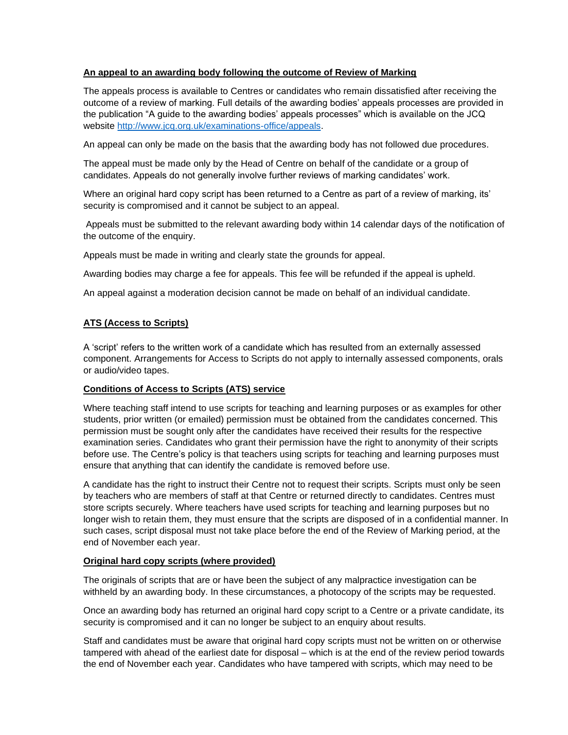# **An appeal to an awarding body following the outcome of Review of Marking**

The appeals process is available to Centres or candidates who remain dissatisfied after receiving the outcome of a review of marking. Full details of the awarding bodies' appeals processes are provided in the publication "A guide to the awarding bodies' appeals processes" which is available on the JCQ website [http://www.jcq.org.uk/examinations-office/appeals.](http://www.jcq.org.uk/examinations-office/appeals)

An appeal can only be made on the basis that the awarding body has not followed due procedures.

The appeal must be made only by the Head of Centre on behalf of the candidate or a group of candidates. Appeals do not generally involve further reviews of marking candidates' work.

Where an original hard copy script has been returned to a Centre as part of a review of marking, its' security is compromised and it cannot be subject to an appeal.

Appeals must be submitted to the relevant awarding body within 14 calendar days of the notification of the outcome of the enquiry.

Appeals must be made in writing and clearly state the grounds for appeal.

Awarding bodies may charge a fee for appeals. This fee will be refunded if the appeal is upheld.

An appeal against a moderation decision cannot be made on behalf of an individual candidate.

# **ATS (Access to Scripts)**

A 'script' refers to the written work of a candidate which has resulted from an externally assessed component. Arrangements for Access to Scripts do not apply to internally assessed components, orals or audio/video tapes.

## **Conditions of Access to Scripts (ATS) service**

Where teaching staff intend to use scripts for teaching and learning purposes or as examples for other students, prior written (or emailed) permission must be obtained from the candidates concerned. This permission must be sought only after the candidates have received their results for the respective examination series. Candidates who grant their permission have the right to anonymity of their scripts before use. The Centre's policy is that teachers using scripts for teaching and learning purposes must ensure that anything that can identify the candidate is removed before use.

A candidate has the right to instruct their Centre not to request their scripts. Scripts must only be seen by teachers who are members of staff at that Centre or returned directly to candidates. Centres must store scripts securely. Where teachers have used scripts for teaching and learning purposes but no longer wish to retain them, they must ensure that the scripts are disposed of in a confidential manner. In such cases, script disposal must not take place before the end of the Review of Marking period, at the end of November each year.

# **Original hard copy scripts (where provided)**

The originals of scripts that are or have been the subject of any malpractice investigation can be withheld by an awarding body. In these circumstances, a photocopy of the scripts may be requested.

Once an awarding body has returned an original hard copy script to a Centre or a private candidate, its security is compromised and it can no longer be subject to an enquiry about results.

Staff and candidates must be aware that original hard copy scripts must not be written on or otherwise tampered with ahead of the earliest date for disposal – which is at the end of the review period towards the end of November each year. Candidates who have tampered with scripts, which may need to be